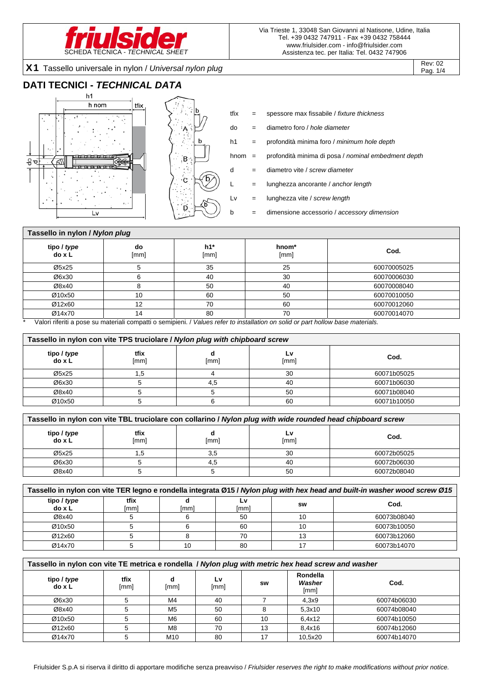

X1 Tassello universale in nylon / *Universal nylon plug* Rev: 02

## **DATI TECNICI -** *TECHNICAL DATA*





- tfix = spessore max fissabile / *fixture thickness*
- do = diametro foro / *hole diameter*
- h1 = profondità minima foro / *minimum hole depth*
- hnom = profondità minima di posa / *nominal embedment depth*
- d = diametro vite / *screw diameter*
- L = lunghezza ancorante / *anchor length*
- Lv = lunghezza vite / *screw length*
- b = dimensione accessorio / *accessory dimension*

#### **Tassello in nylon /** *Nylon plug* **tipo /** *type* **do x L do**  [mm] **h1\***  [mm] **hnom\***  [mm] **Cod.**  Ø5x25 5 35 25 60070005025  $\varnothing$ 6x30 | 6 | 40 | 30 | 60070006030  $\varnothing$ 8x40 | 8 | 50 | 40 | 60070008040  $\emptyset$ 10x50 | 10 | 60 | 50 | 50 | 60070010050 Ø12x60 12 70 60 60070012060 Ø14x70 14 80 70 60070014070

Valori riferiti a pose su materiali compatti o semipieni. / Values refer to installation on solid or part hollow base materials.

| Tassello in nylon con vite TPS truciolare / Nylon plug with chipboard screw |              |      |            |             |  |  |  |  |  |  |
|-----------------------------------------------------------------------------|--------------|------|------------|-------------|--|--|--|--|--|--|
| tipo / type<br>do x L                                                       | tfix<br>[mm] | [mm] | L٧<br>[mm] | Cod.        |  |  |  |  |  |  |
| Ø5x25                                                                       | ن.           |      | 30         | 60071b05025 |  |  |  |  |  |  |
| Ø6x30                                                                       |              | 4.5  | 40         | 60071b06030 |  |  |  |  |  |  |
| Ø8x40                                                                       |              |      | 50         | 60071b08040 |  |  |  |  |  |  |
| Ø10x50                                                                      |              |      | 60         | 60071b10050 |  |  |  |  |  |  |

| Tassello in nylon con vite TBL truciolare con collarino / Nylon plug with wide rounded head chipboard screw |              |      |            |             |  |  |  |  |  |  |
|-------------------------------------------------------------------------------------------------------------|--------------|------|------------|-------------|--|--|--|--|--|--|
| tipo / type<br>do x L                                                                                       | tfix<br>[mm] | [mm] | L٧<br>[mm] | Cod.        |  |  |  |  |  |  |
| Ø5x25                                                                                                       | .ט           | 3,5  | 30         | 60072b05025 |  |  |  |  |  |  |
| Ø6x30                                                                                                       |              | 4.5  | 40         | 60072b06030 |  |  |  |  |  |  |
| Ø8x40                                                                                                       |              |      | 50         | 60072b08040 |  |  |  |  |  |  |

| Tassello in nylon con vite TER legno e rondella integrata Ø15 / Nylon plug with hex head and built-in washer wood screw Ø15 |              |      |             |    |             |  |  |  |  |
|-----------------------------------------------------------------------------------------------------------------------------|--------------|------|-------------|----|-------------|--|--|--|--|
| tipo / type<br>do x L                                                                                                       | tfix<br>[mm] | [mm] | ∟V.<br>[mm] | sw | Cod.        |  |  |  |  |
| Ø8x40                                                                                                                       |              |      | 50          | 10 | 60073b08040 |  |  |  |  |
| Ø10x50                                                                                                                      |              |      | 60          |    | 60073b10050 |  |  |  |  |
| Ø12x60                                                                                                                      |              |      | 70          | 13 | 60073b12060 |  |  |  |  |
| Ø14x70                                                                                                                      |              | 10   | 80          |    | 60073b14070 |  |  |  |  |

#### **Tassello in nylon con vite TE metrica e rondella /** *Nylon plug with metric hex head screw and washer*

| tipo / type<br>do x L | tfix<br>[mm] | [mm]            | Lv<br>[mm] | <b>SW</b> | Rondella<br>Washer<br>[mm] | Cod.        |
|-----------------------|--------------|-----------------|------------|-----------|----------------------------|-------------|
| Ø6x30                 |              | M4              | 40         |           | 4,3x9                      | 60074b06030 |
| Ø8x40                 |              | M <sub>5</sub>  | 50         |           | 5,3x10                     | 60074b08040 |
| Ø10x50                |              | M <sub>6</sub>  | 60         | 10        | 6.4x12                     | 60074b10050 |
| Ø12x60                |              | M <sub>8</sub>  | 70         | 13        | 8,4x16                     | 60074b12060 |
| Ø14x70                |              | M <sub>10</sub> | 80         |           | 10.5x20                    | 60074b14070 |

Pag. 1/4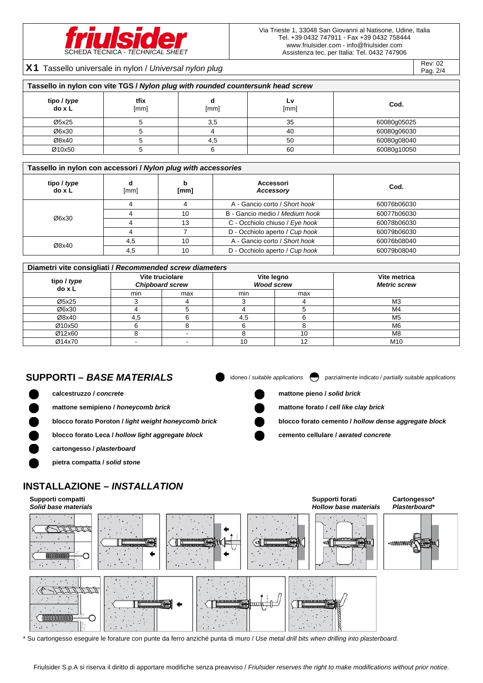

Rev: 02<br>X1 Tassello universale in nylon / *Universal nylon plug* Rev: 02

Pag. 2/4

| Tassello in nylon con vite TGS / Nylon plug with rounded countersunk head screw |              |      |            |             |  |  |  |  |  |  |
|---------------------------------------------------------------------------------|--------------|------|------------|-------------|--|--|--|--|--|--|
| tipo / type<br>do x L                                                           | tfix<br>[mm] | [mm] | Ĺ٧<br>[mm] | Cod.        |  |  |  |  |  |  |
| Ø5x25                                                                           |              | 3,5  | 35         | 60080g05025 |  |  |  |  |  |  |
| Ø6x30                                                                           |              |      | 40         | 60080g06030 |  |  |  |  |  |  |
| Ø8x40                                                                           |              | 4.5  | 50         | 60080g08040 |  |  |  |  |  |  |
| Ø10x50                                                                          |              |      | 60         | 60080g10050 |  |  |  |  |  |  |

#### **Tassello in nylon con accessori /** *Nylon plug with accessories*

| tipo / type<br>do x L | d<br>[mm] | b<br>[mm] | Accessori<br>Accessory         | Cod.        |
|-----------------------|-----------|-----------|--------------------------------|-------------|
| Ø6x30                 | 4         |           | A - Gancio corto / Short hook  | 60076b06030 |
|                       |           | 10        | B - Gancio medio / Medium hook | 60077b06030 |
|                       |           | 13        | C - Occhiolo chiuso / Eye hook | 60078b06030 |
|                       |           |           | D - Occhiolo aperto / Cup hook | 60079b06030 |
|                       | 4.5       | 10        | A - Gancio corto / Short hook  | 60076b08040 |
| Ø8x40                 | 4,5       | 10        | D - Occhiolo aperto / Cup hook | 60079b08040 |

#### **Diametri vite consigliati /** *Recommended screw diameters*

| tipo / type<br>do x L |     | Vite truciolare<br><b>Chipboard screw</b> | Vite legno<br><b>Wood screw</b> |     | Vite metrica<br><b>Metric screw</b> |  |  |  |  |  |  |
|-----------------------|-----|-------------------------------------------|---------------------------------|-----|-------------------------------------|--|--|--|--|--|--|
|                       | min | max                                       | min                             | max |                                     |  |  |  |  |  |  |
| Ø5x25                 |     |                                           |                                 |     | M <sub>3</sub>                      |  |  |  |  |  |  |
| Ø6x30                 |     |                                           |                                 |     | M4                                  |  |  |  |  |  |  |
| Ø8x40                 | 4.5 |                                           | 4.5                             |     | M <sub>5</sub>                      |  |  |  |  |  |  |
| Ø10x50                |     |                                           |                                 |     | M <sub>6</sub>                      |  |  |  |  |  |  |
| Ø12x60                |     |                                           |                                 | 10  | M8                                  |  |  |  |  |  |  |
| Ø14x70                |     |                                           | 10                              | 12  | M <sub>10</sub>                     |  |  |  |  |  |  |

SUPPORTI – BASE MATERIALS **in the Constant of** *applications* parzialmente indicato / *partially suitable applications* 

**calcestruzzo /** *concrete* **mattone pieno /** *solid brick*

**mattone semipieno /** *honeycomb brick* **<b>and the clay brick mattone forato /** *cell like clay brick* 

**blocco forato Poroton /** *light weight honeycomb brick* **blocco forato cemento /** *hollow dense aggregate block*

**Cartongesso\*** 

**blocco forato Leca /** *hollow light aggregate block* **cemento cellulare /** *aerated concrete*

**Supporti forati** 

# **pietra compatta /** *solid stone*

**cartongesso /** *plasterboard*

## **INSTALLAZIONE –** *INSTALLATION*

#### **Supporti compatti**



\* Su cartongesso eseguire le forature con punte da ferro anziché punta di muro / *Use metal drill bits when drilling into plasterboard.* 

Friulsider S.p.A si riserva il diritto di apportare modifiche senza preavviso / *Friulsider reserves the right to make modifications without prior notice.*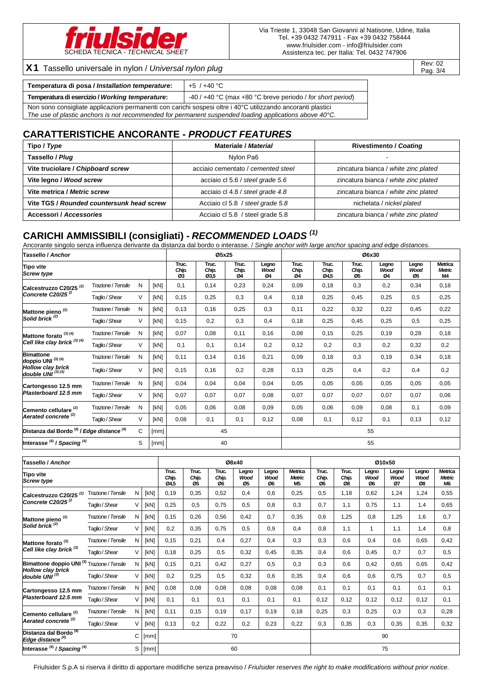

# X1 Tassello universale in nylon / *Universal nylon plug* Rev: 02 Rev: 02

Pag. 3/4

| Temperatura di posa / Installation temperature:                                                                                                                                                                                  | +5 / +40 °C                                                    |
|----------------------------------------------------------------------------------------------------------------------------------------------------------------------------------------------------------------------------------|----------------------------------------------------------------|
| Temperatura di esercizio / Working temperature:                                                                                                                                                                                  | -40 / $+40$ °C (max $+80$ °C breve periodo / for short period) |
| Non sono consigliate applicazioni permanenti con carichi sospesi oltre i 40°C utilizzando ancoranti plastici<br>The use of plastic anchors is not recommended for permanent suspended loading applications above $40^{\circ}$ C. |                                                                |

## **CARATTERISTICHE ANCORANTE -** *PRODUCT FEATURES*

| Tipo / Type                               | <b>Materiale / Material</b>        | <b>Rivestimento / Coating</b>        |
|-------------------------------------------|------------------------------------|--------------------------------------|
| Tassello / Plug                           | Nylon Pa6                          |                                      |
| Vite truciolare / Chipboard screw         | acciaio cementato / cemented steel | zincatura bianca / white zinc plated |
| Vite legno / Wood screw                   | acciaio cl 5.6 / steel grade 5.6   | zincatura bianca / white zinc plated |
| Vite metrica / Metric screw               | acciaio cl 4.8 / steel grade 4.8   | zincatura bianca / white zinc plated |
| Vite TGS / Rounded countersunk head screw | Acciaio cl 5.8 / steel grade 5.8   | nichelata / nickel plated            |
| Accessori / Accessories                   | Acciaio cl 5.8 / steel grade 5.8   | zincatura bianca / white zinc plated |

## **CARICHI AMMISSIBILI (consigliati) -** *RECOMMENDED LOADS (1)*

Ancorante singolo senza influenza derivante da distanza dal bordo o interasse. / *Single anchor with large anchor spacing and edge distances.*

| Tassello / Anchor                                                          |                                                                                           |        |      |                      | Ø5x25                  |                      |                     | Ø6x30                |                        |                      |                     |                     |                                       |
|----------------------------------------------------------------------------|-------------------------------------------------------------------------------------------|--------|------|----------------------|------------------------|----------------------|---------------------|----------------------|------------------------|----------------------|---------------------|---------------------|---------------------------------------|
| <b>Tipo vite</b><br><b>Screw type</b>                                      |                                                                                           |        |      | Truc.<br>Chip.<br>Ø3 | Truc.<br>Chip.<br>Ø3,5 | Truc.<br>Chip.<br>Ø4 | Legno<br>Wood<br>Ø4 | Truc.<br>Chip.<br>Ø4 | Truc.<br>Chip.<br>Ø4.5 | Truc.<br>Chip.<br>Ø5 | Legno<br>Wood<br>Ø4 | Legno<br>Wood<br>Ø5 | <b>Metrica</b><br><b>Metric</b><br>M4 |
| Calcestruzzo C20/25 <sup>(2)</sup>                                         | Trazione / Tensile                                                                        | N      | [kN] | 0,1                  | 0,14                   | 0,23                 | 0,24                | 0,09                 | 0,18                   | 0,3                  | 0,2                 | 0,34                | 0,18                                  |
| Concrete C20/25 $^{(2)}$                                                   | Taglio / Shear                                                                            | $\vee$ | [kN] | 0,15                 | 0,25                   | 0.3                  | 0,4                 | 0,18                 | 0,25                   | 0,45                 | 0,25                | 0,5                 | 0,25                                  |
| Mattone pieno <sup>(2)</sup><br>Solid brick <sup>(2)</sup>                 | Trazione / Tensile                                                                        | N      | [kN] | 0,13                 | 0,16                   | 0,25                 | 0,3                 | 0,11                 | 0,22                   | 0,32                 | 0,22                | 0,45                | 0,22                                  |
|                                                                            | Taglio / Shear                                                                            | V      | [kN] | 0,15                 | 0,2                    | 0,3                  | 0,4                 | 0,18                 | 0,25                   | 0,45                 | 0,25                | 0,5                 | 0,25                                  |
| Mattone forato <sup>(3)(4)</sup><br>Cell like clay brick <sup>(3)(4)</sup> | Trazione / Tensile                                                                        | N      | [kN] | 0,07                 | 0,08                   | 0,11                 | 0,16                | 0,08                 | 0, 15                  | 0,25                 | 0,19                | 0,28                | 0,18                                  |
|                                                                            | Taglio / Shear                                                                            | $\vee$ | [kN] | 0.1                  | 0,1                    | 0,14                 | 0,2                 | 0,12                 | 0,2                    | 0,3                  | 0,2                 | 0,32                | 0,2                                   |
| <b>Bimattone</b><br>doppio UNI (3) (4)                                     | Trazione / Tensile                                                                        | N      | [kN] | 0,11                 | 0,14                   | 0,16                 | 0,21                | 0,09                 | 0,18                   | 0,3                  | 0,19                | 0,34                | 0,18                                  |
| <b>Hollow clay brick</b><br>double UNI $^{(3)(4)}$                         | Taglio / Shear                                                                            | V      | [kN] | 0,15                 | 0,16                   | 0,2                  | 0,28                | 0,13                 | 0,25                   | 0,4                  | 0,2                 | 0,4                 | 0,2                                   |
| Cartongesso 12.5 mm                                                        | Trazione / Tensile                                                                        | N      | [kN] | 0,04                 | 0,04                   | 0,04                 | 0,04                | 0,05                 | 0,05                   | 0,05                 | 0,05                | 0,05                | 0,05                                  |
| Plasterboard 12.5 mm                                                       | Taglio / Shear                                                                            | V      | [kN] | 0,07                 | 0,07                   | 0,07                 | 0,08                | 0,07                 | 0,07                   | 0,07                 | 0,07                | 0,07                | 0,06                                  |
| Cemento cellulare <sup>(2)</sup>                                           | Trazione / Tensile                                                                        | N      | [kN] | 0,05                 | 0,06                   | 0,08                 | 0,09                | 0,05                 | 0,06                   | 0,09                 | 0,08                | 0,1                 | 0,09                                  |
| Aerated concrete <sup>(2)</sup>                                            | Taglio / Shear                                                                            | V      | [kN] | 0,08                 | 0,1                    | 0,1                  | 0,12                | 0,08                 | 0,1                    | 0,12                 | 0,1                 | 0,13                | 0,12                                  |
|                                                                            | Distanza dal Bordo <sup>(4)</sup> / Edge distance <sup>(4)</sup><br>C<br>45<br>55<br>[mm] |        |      |                      |                        |                      |                     |                      |                        |                      |                     |                     |                                       |
| Interasse <sup>(4)</sup> / Spacing <sup>(4)</sup>                          |                                                                                           | S      | [mm] |                      | 40                     |                      |                     |                      |                        | 55                   |                     |                     |                                       |

| Tassello / Anchor                                                 |                       |        |      | Ø8x40                  |                      |                      |                            |                            |                                              |                      |                      |                     | Ø10x50              |                     |                                                   |
|-------------------------------------------------------------------|-----------------------|--------|------|------------------------|----------------------|----------------------|----------------------------|----------------------------|----------------------------------------------|----------------------|----------------------|---------------------|---------------------|---------------------|---------------------------------------------------|
| <b>Tipo vite</b><br><b>Screw type</b>                             |                       |        |      | Truc.<br>Chip.<br>Ø4,5 | Truc.<br>Chip.<br>Ø5 | Truc.<br>Chip.<br>Ø6 | Legno<br><b>Wood</b><br>Ø5 | Legno<br><b>Wood</b><br>Ø6 | <b>Metrica</b><br><b>Metric</b><br><b>M5</b> | Truc.<br>Chip.<br>Ø6 | Truc.<br>Chip.<br>Ø8 | Legno<br>Wood<br>Ø6 | Legno<br>Wood<br>Ø7 | Legno<br>Wood<br>Ø8 | <b>Metrica</b><br><b>Metric</b><br>M <sub>6</sub> |
| Calcestruzzo C20/25 <sup>(2)</sup>                                | Trazione / Tensile    | N      | [kN] | 0,19                   | 0,35                 | 0,52                 | 0,4                        | 0,6                        | 0,25                                         | 0.5                  | 1,18                 | 0,62                | 1,24                | 1,24                | 0,55                                              |
| Concrete C20/25 $(2)$                                             | Taglio / Shear        | $\vee$ | [kN] | 0,25                   | 0,5                  | 0,75                 | 0,5                        | 0,8                        | 0,3                                          | 0,7                  | 1,1                  | 0,75                | 1,1                 | 1,4                 | 0,65                                              |
| Mattone pieno <sup>(2)</sup><br>Solid brick <sup>(2)</sup>        | Trazione / Tensile    | N      | [kN] | 0,15                   | 0,26                 | 0,56                 | 0,42                       | 0,7                        | 0,35                                         | 0.6                  | 1,25                 | 0,8                 | 1,25                | 1,6                 | 0,7                                               |
|                                                                   | Taglio / Shear        | $\vee$ | [kN] | 0,2                    | 0,35                 | 0,75                 | 0,5                        | 0,9                        | 0,4                                          | 0.8                  | 1,1                  | 1                   | 1,1                 | 1,4                 | 0,8                                               |
| Mattone forato <sup>(3)</sup><br>Cell like clay brick $(3)$       | Trazione / Tensile    | N      | [kN] | 0,15                   | 0,21                 | 0,4                  | 0,27                       | 0,4                        | 0,3                                          | 0,3                  | 0,6                  | 0,4                 | 0,6                 | 0,65                | 0,42                                              |
|                                                                   | Taglio / Shear        | $\vee$ | [kN] | 0,18                   | 0,25                 | 0,5                  | 0,32                       | 0,45                       | 0,35                                         | 0.4                  | 0,6                  | 0,45                | 0,7                 | 0,7                 | 0,5                                               |
| Bimattone doppio UNI <sup>(3)</sup>                               | Trazione / Tensile    | N      | [kN] | 0,15                   | 0,21                 | 0,42                 | 0,27                       | 0,5                        | 0.3                                          | 0.3                  | 0,6                  | 0,42                | 0,65                | 0,65                | 0,42                                              |
| <b>Hollow clay brick</b><br>double UNI $^{(3)}$                   | Taglio / Shear        | $\vee$ | [kN] | 0,2                    | 0,25                 | 0,5                  | 0,32                       | 0,6                        | 0,35                                         | 0.4                  | 0,6                  | 0,6                 | 0,75                | 0,7                 | 0,5                                               |
| Cartongesso 12.5 mm                                               | Trazione / Tensile    | N      | [kN] | 0,08                   | 0,08                 | 0,08                 | 0,08                       | 0,08                       | 0,08                                         | 0.1                  | 0.1                  | 0,1                 | 0,1                 | 0,1                 | 0,1                                               |
| Plasterboard 12.5 mm                                              | Taglio / Shear        | $\vee$ | [kN] | 0.1                    | 0.1                  | 0,1                  | 0,1                        | 0,1                        | 0,1                                          | 0,12                 | 0,12                 | 0,12                | 0,12                | 0,12                | 0.1                                               |
| Cemento cellulare <sup>(2)</sup>                                  | Trazione / Tensile    | N      | [kN] | 0,11                   | 0, 15                | 0, 19                | 0,17                       | 0,19                       | 0,18                                         | 0,25                 | 0,3                  | 0,25                | 0,3                 | 0,3                 | 0,28                                              |
| Aerated concrete <sup>(2)</sup>                                   | Taglio / Shear        | V      | [kN] | 0,13                   | 0,2                  | 0,22                 | 0,2                        | 0,23                       | 0,22                                         | 0,3                  | 0,35                 | 0,3                 | 0,35                | 0,35                | 0,32                                              |
| Distanza dal Bordo <sup>(4)</sup><br>Edge distance <sup>(4)</sup> | C<br>90<br>70<br>[mm] |        |      |                        |                      |                      |                            |                            |                                              |                      |                      |                     |                     |                     |                                                   |
| Interasse <sup>(4)</sup> / Spacing <sup>(4)</sup>                 |                       | S      | [mm] |                        |                      |                      | 60                         |                            |                                              |                      |                      |                     | 75                  |                     |                                                   |

Friulsider S.p.A si riserva il diritto di apportare modifiche senza preavviso / *Friulsider reserves the right to make modifications without prior notice.*